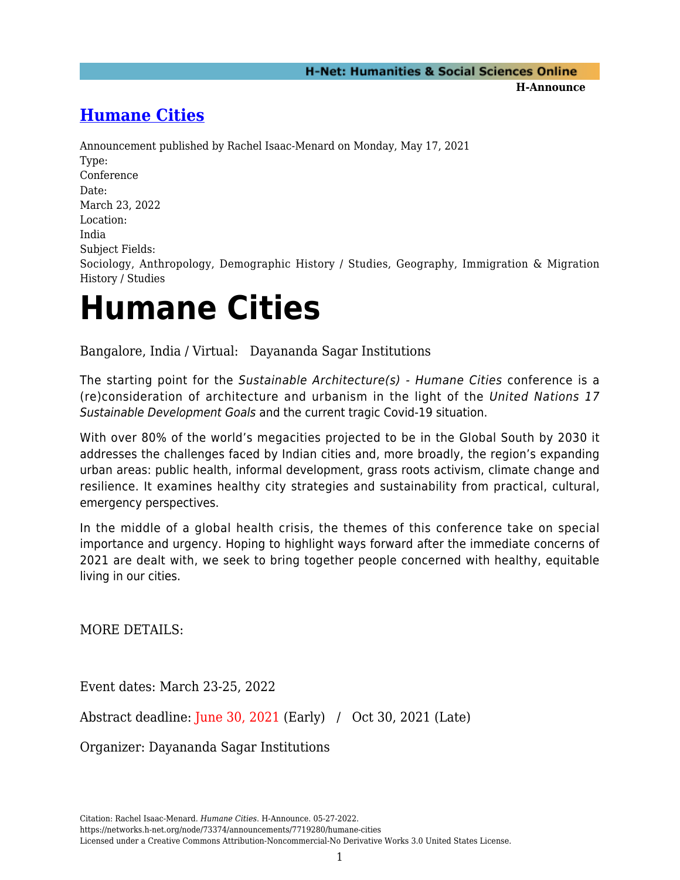**H-Announce** 

## **[Humane Cities](https://networks.h-net.org/node/73374/announcements/7719280/humane-cities)**

Announcement published by Rachel Isaac-Menard on Monday, May 17, 2021 Type: Conference Date: March 23, 2022 Location: India Subject Fields: Sociology, Anthropology, Demographic History / Studies, Geography, Immigration & Migration History / Studies

## **Humane Cities**

Bangalore, India / Virtual: Dayananda Sagar Institutions

The starting point for the Sustainable Architecture(s) - Humane Cities conference is a (re)consideration of architecture and urbanism in the light of the United Nations 17 Sustainable Development Goals and the current tragic Covid-19 situation.

With over 80% of the world's megacities projected to be in the Global South by 2030 it addresses the challenges faced by Indian cities and, more broadly, the region's expanding urban areas: public health, informal development, grass roots activism, climate change and resilience. It examines healthy city strategies and sustainability from practical, cultural, emergency perspectives.

In the middle of a global health crisis, the themes of this conference take on special importance and urgency. Hoping to highlight ways forward after the immediate concerns of 2021 are dealt with, we seek to bring together people concerned with healthy, equitable living in our cities.

MORE DETAILS:

Event dates: March 23-25, 2022

Abstract deadline: June 30, 2021 (Early) / Oct 30, 2021 (Late)

Organizer: Dayananda Sagar Institutions

Citation: Rachel Isaac-Menard. *Humane Cities*. H-Announce. 05-27-2022.

https://networks.h-net.org/node/73374/announcements/7719280/humane-cities

Licensed under a Creative Commons Attribution-Noncommercial-No Derivative Works 3.0 United States License.